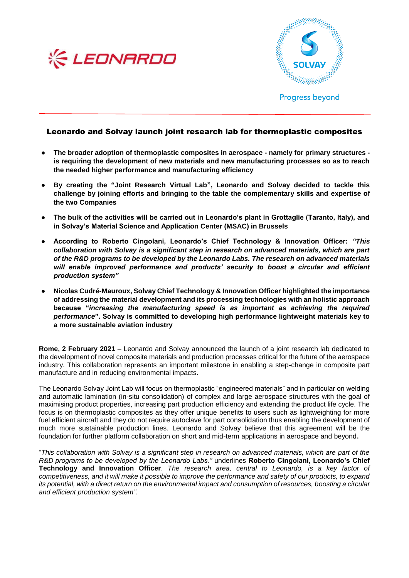



## Leonardo and Solvay launch joint research lab for thermoplastic composites

- **The broader adoption of thermoplastic composites in aerospace - namely for primary structures is requiring the development of new materials and new manufacturing processes so as to reach the needed higher performance and manufacturing efficiency**
- By creating the "Joint Research Virtual Lab", Leonardo and Solvay decided to tackle this **challenge by joining efforts and bringing to the table the complementary skills and expertise of the two Companies**
- **The bulk of the activities will be carried out in Leonardo's plant in Grottaglie (Taranto, Italy), and in Solvay's Material Science and Application Center (MSAC) in Brussels**
- **According to Roberto Cingolani, Leonardo's Chief Technology & Innovation Officer:** *"This collaboration with Solvay is a significant step in research on advanced materials, which are part of the R&D programs to be developed by the Leonardo Labs. The research on advanced materials will enable improved performance and products' security to boost a circular and efficient production system"*
- **Nicolas Cudré-Mauroux, Solvay Chief Technology & Innovation Officer highlighted the importance of addressing the material development and its processing technologies with an holistic approach because "***increasing the manufacturing speed is as important as achieving the required performance***". Solvay is committed to developing high performance lightweight materials key to a more sustainable aviation industry**

**Rome, 2 February 2021** – Leonardo and Solvay announced the launch of a joint research lab dedicated to the development of novel composite materials and production processes critical for the future of the aerospace industry. This collaboration represents an important milestone in enabling a step-change in composite part manufacture and in reducing environmental impacts.

The Leonardo Solvay Joint Lab will focus on thermoplastic "engineered materials" and in particular on welding and automatic lamination (in-situ consolidation) of complex and large aerospace structures with the goal of maximising product properties, increasing part production efficiency and extending the product life cycle. The focus is on thermoplastic composites as they offer unique benefits to users such as lightweighting for more fuel efficient aircraft and they do not require autoclave for part consolidation thus enabling the development of much more sustainable production lines. Leonardo and Solvay believe that this agreement will be the foundation for further platform collaboration on short and mid-term applications in aerospace and beyond.

"*This collaboration with Solvay is a significant step in research on advanced materials, which are part of the R&D programs to be developed by the Leonardo Labs."* underlines **Roberto Cingolani, Leonardo's Chief Technology and Innovation Officer**. *The research area, central to Leonardo, is a key factor of competitiveness, and it will make it possible to improve the performance and safety of our products, to expand its potential, with a direct return on the environmental impact and consumption of resources, boosting a circular and efficient production system".*